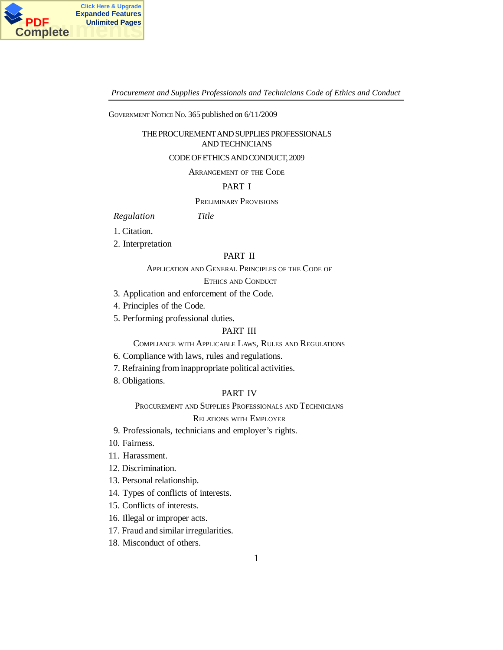

GOVERNMENT NOTICE NO. 365 published on 6/11/2009

### THE PROCUREMENT AND SUPPLIES PROFESSIONALS AND TECHNICIANS

### CODE OF ETHICS AND CONDUCT, 2009

ARRANGEMENT OF THE CODE

### PART I

### PRELIMINARY PROVISIONS

*Regulation Title*

- 1. Citation.
- 2. Interpretation

## PART II

# APPLICATION AND GENERAL PRINCIPLES OF THE CODE OF

# ETHICS AND CONDUCT

- 3. Application and enforcement of the Code.
- 4. Principles of the Code.
- 5. Performing professional duties.

# PART III

COMPLIANCE WITH APPLICABLE LAWS, RULES AND REGULATIONS

- 6. Compliance with laws, rules and regulations.
- 7. Refraining from inappropriate political activities.
- 8. Obligations.

# PART IV

PROCUREMENT AND SUPPLIES PROFESSIONALS AND TECHNICIANS

### RELATIONS WITH EMPLOYER

- 9. Professionals, technicians and employer's rights.
- 10. Fairness.
- 11. Harassment.
- 12. Discrimination.
- 13. Personal relationship.
- 14. Types of conflicts of interests.
- 15. Conflicts of interests.
- 16. Illegal or improper acts.
- 17. Fraud and similar irregularities.
- 18. Misconduct of others.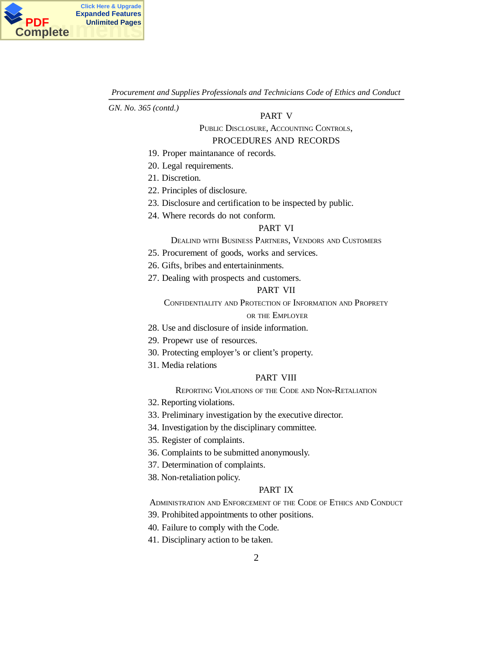

*GN. No. 365 (contd.)*

### PART V

# PUBLIC DISCLOSURE, ACCOUNTING CONTROLS, PROCEDURES AND RECORDS

- 19. Proper maintanance of records.
- 20. Legal requirements.
- 21. Discretion.
- 22. Principles of disclosure.
- 23. Disclosure and certification to be inspected by public.
- 24. Where records do not conform.

#### PART VI

## DEALIND WITH BUSINESS PARTNERS, VENDORS AND CUSTOMERS

- 25. Procurement of goods, works and services.
- 26. Gifts, bribes and entertaininments.
- 27. Dealing with prospects and customers.

# PART VII

CONFIDENTIALITY AND PROTECTION OF INFORMATION AND PROPRETY

### OR THE EMPLOYER

- 28. Use and disclosure of inside information.
- 29. Propewr use of resources.
- 30. Protecting employer's or client's property.
- 31. Media relations

# PART VIII

### REPORTING VIOLATIONS OF THE CODE AND NON-RETALIATION

- 32. Reporting violations.
- 33. Preliminary investigation by the executive director.
- 34. Investigation by the disciplinary committee.
- 35. Register of complaints.
- 36. Complaints to be submitted anonymously.
- 37. Determination of complaints.
- 38. Non-retaliation policy.

## PART IX

ADMINISTRATION AND ENFORCEMENT OF THE CODE OF ETHICS AND CONDUCT

- 39. Prohibited appointments to other positions.
- 40. Failure to comply with the Code.
- 41. Disciplinary action to be taken.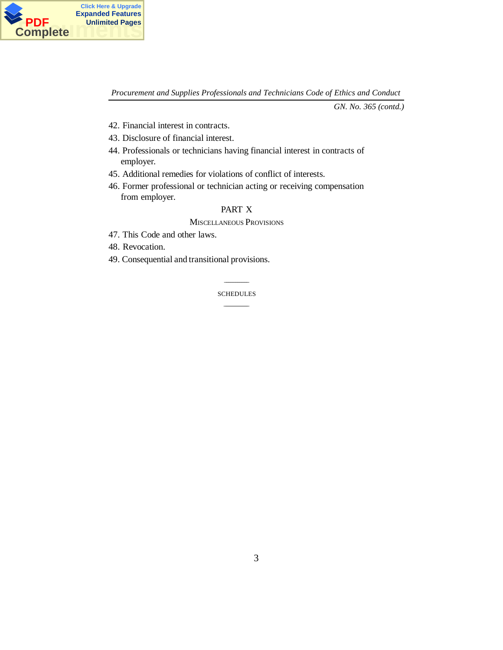

*GN. No. 365 (contd.)*

- 42. Financial interest in contracts.
- 43. Disclosure of financial interest.
- 44. Professionals or technicians having financial interest in contracts of employer.
- 45. Additional remedies for violations of conflict of interests.
- 46. Former professional or technician acting or receiving compensation from employer.

# PART X

MISCELLANEOUS PROVISIONS

- 47. This Code and other laws.
- 48. Revocation.
- 49. Consequential and transitional provisions.

\_\_\_\_\_\_\_\_\_\_\_\_\_ SCHEDULES  $\overline{\phantom{a}}$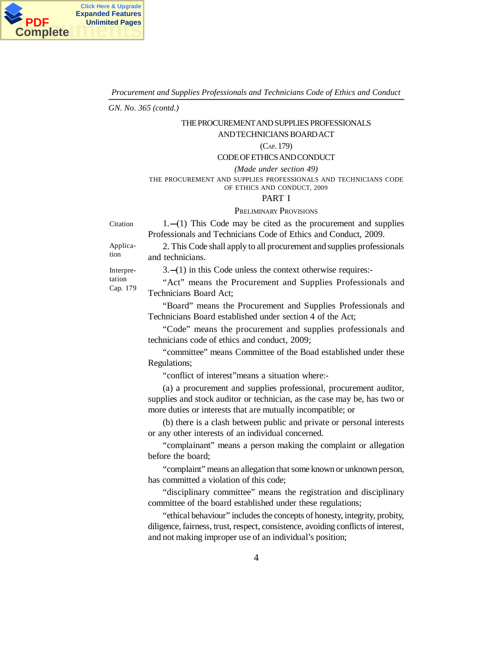

*GN. No. 365 (contd.)*

# THE PROCUREMENT AND SUPPLIES PROFESSIONALS

### AND TECHNICIANS BOARD ACT

### (CAP. 179)

### CODE OF ETHICS AND CONDUCT

*(Made under section 49)* THE PROCUREMENT AND SUPPLIES PROFESSIONALS AND TECHNICIANS CODE OF ETHICS AND CONDUCT, 2009

#### PART I

### PRELIMINARY PROVISIONS

 $1.$ --(1) This Code may be cited as the procurement and supplies Professionals and Technicians Code of Ethics and Conduct, 2009.

Application

Citation

2. This Code shall apply to all procurement and supplies professionals and technicians.

Interpretation Cap. 179  $3. - (1)$  in this Code unless the context otherwise requires:-

"Act" means the Procurement and Supplies Professionals and Technicians Board Act;

"Board" means the Procurement and Supplies Professionals and Technicians Board established under section 4 of the Act;

"Code" means the procurement and supplies professionals and technicians code of ethics and conduct, 2009;

"committee" means Committee of the Boad established under these Regulations;

"conflict of interest"means a situation where:-

(a) a procurement and supplies professional, procurement auditor, supplies and stock auditor or technician, as the case may be, has two or more duties or interests that are mutually incompatible; or

(b) there is a clash between public and private or personal interests or any other interests of an individual concerned.

"complainant" means a person making the complaint or allegation before the board;

"complaint" means an allegation that some known or unknown person, has committed a violation of this code;

"disciplinary committee" means the registration and disciplinary committee of the board established under these regulations;

"ethical behaviour" includes the concepts of honesty, integrity, probity, diligence, fairness, trust, respect, consistence, avoiding conflicts of interest, and not making improper use of an individual's position;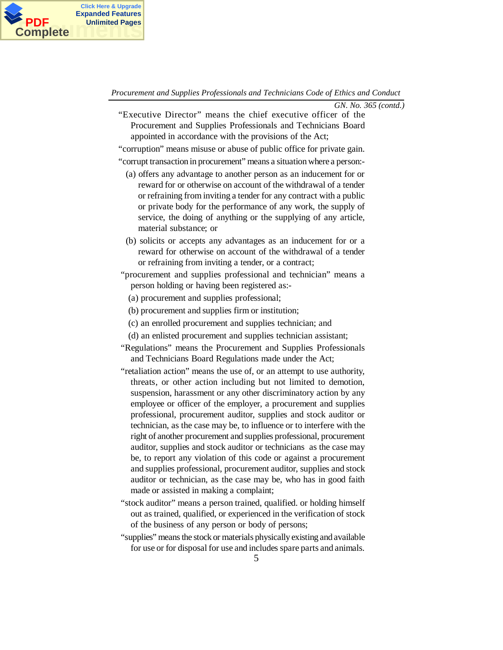

*GN. No. 365 (contd.)*

"Executive Director" means the chief executive officer of the Procurement and Supplies Professionals and Technicians Board appointed in accordance with the provisions of the Act;

"corruption" means misuse or abuse of public office for private gain.

"corrupt transaction in procurement" means a situation where a person:-

- (a) offers any advantage to another person as an inducement for or reward for or otherwise on account of the withdrawal of a tender or refraining from inviting a tender for any contract with a public or private body for the performance of any work, the supply of service, the doing of anything or the supplying of any article, material substance; or
- (b) solicits or accepts any advantages as an inducement for or a reward for otherwise on account of the withdrawal of a tender or refraining from inviting a tender, or a contract;
- "procurement and supplies professional and technician" means a person holding or having been registered as:-
	- (a) procurement and supplies professional;
	- (b) procurement and supplies firm or institution;
	- (c) an enrolled procurement and supplies technician; and
	- (d) an enlisted procurement and supplies technician assistant;
- "Regulations" means the Procurement and Supplies Professionals and Technicians Board Regulations made under the Act;
- "retaliation action" means the use of, or an attempt to use authority, threats, or other action including but not limited to demotion, suspension, harassment or any other discriminatory action by any employee or officer of the employer, a procurement and supplies professional, procurement auditor, supplies and stock auditor or technician, as the case may be, to influence or to interfere with the right of another procurement and supplies professional, procurement auditor, supplies and stock auditor or technicians as the case may be, to report any violation of this code or against a procurement and supplies professional, procurement auditor, supplies and stock auditor or technician, as the case may be, who has in good faith made or assisted in making a complaint;
- "stock auditor" means a person trained, qualified. or holding himself out as trained, qualified, or experienced in the verification of stock of the business of any person or body of persons;
- "supplies" means the stock or materials physically existing and available for use or for disposal for use and includes spare parts and animals.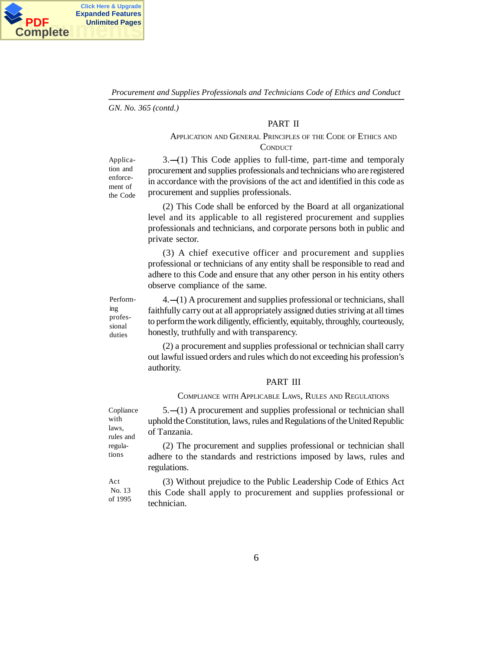

*GN. No. 365 (contd.)*

# PART II

# APPLICATION AND GENERAL PRINCIPLES OF THE CODE OF ETHICS AND **CONDUCT**

Application and enforcement of the Code

 $3. - (1)$  This Code applies to full-time, part-time and temporaly procurement and supplies professionals and technicians who are registered in accordance with the provisions of the act and identified in this code as procurement and supplies professionals.

(2) This Code shall be enforced by the Board at all organizational level and its applicable to all registered procurement and supplies professionals and technicians, and corporate persons both in public and private sector.

(3) A chief executive officer and procurement and supplies professional or technicians of any entity shall be responsible to read and adhere to this Code and ensure that any other person in his entity others observe compliance of the same.

Performing professional duties

 $4.$ — $(1)$  A procurement and supplies professional or technicians, shall faithfully carry out at all appropriately assigned duties striving at all times to perform the work diligently, efficiently, equitably, throughly, courteously, honestly, truthfully and with transparency.

(2) a procurement and supplies professional or technician shall carry out lawful issued orders and rules which do not exceeding his profession's authority.

### PART III

#### COMPLIANCE WITH APPLICABLE LAWS, RULES AND REGULATIONS

 $5.-(1)$  A procurement and supplies professional or technician shall uphold the Constitution, laws, rules and Regulations of the United Republic of Tanzania.

(2) The procurement and supplies professional or technician shall adhere to the standards and restrictions imposed by laws, rules and regulations.

(3) Without prejudice to the Public Leadership Code of Ethics Act this Code shall apply to procurement and supplies professional or technician. No. 13 of 1995

Copliance with laws, rules and regulations

Act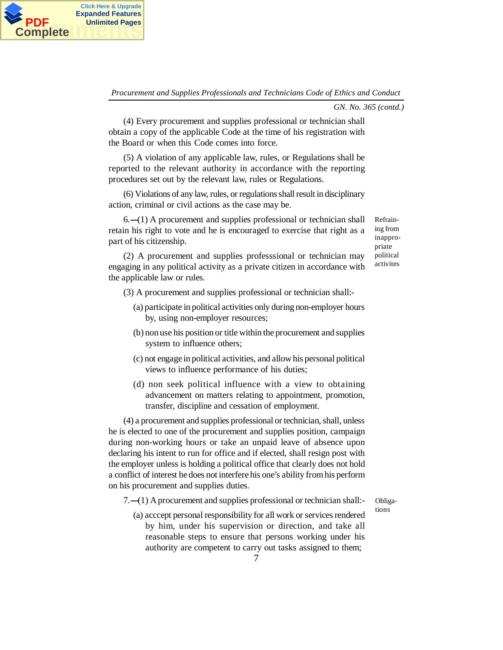

*GN. No. 365 (contd.)*

(4) Every procurement and supplies professional or technician shall obtain a copy of the applicable Code at the time of his registration with the Board or when this Code comes into force.

**PDF** Unlimited Pages<br>Complete

**Click Here & Upgrade Expanded Features**

**Complete**

(5) A violation of any applicable law, rules, or Regulations shall be reported to the relevant authority in accordance with the reporting procedures set out by the relevant law, rules or Regulations.

(6) Violations of any law, rules, or regulations shall result in disciplinary action, criminal or civil actions as the case may be.

 $6.$ --(1) A procurement and supplies professional or technician shall retain his right to vote and he is encouraged to exercise that right as a part of his citizenship.

Refraining from inappropriate political activites

(2) A procurement and supplies professsional or technician may engaging in any political activity as a private citizen in accordance with the applicable law or rules.

- (3) A procurement and supplies professional or technician shall:-
	- (a) participate in political activities only during non-employer hours by, using non-employer resources;
	- (b) non use his position or title within the procurement and supplies system to influence others;
	- (c) not engage in political activities, and allow his personal political views to influence performance of his duties;
	- (d) non seek political influence with a view to obtaining advancement on matters relating to appointment, promotion, transfer, discipline and cessation of employment.

(4) a procurement and supplies professional or technician, shall, unless he is elected to one of the procurement and supplies position, campaign during non-working hours or take an unpaid leave of absence upon declaring his intent to run for office and if elected, shall resign post with the employer unless is holding a political office that clearly does not hold a conflict of interest he does not interfere his one's ability from his perform on his procurement and supplies duties.

 $7.$   $-$ (1) A procurement and supplies professional or technician shall:

Obligations

(a) acccept personal responsibility for all work or services rendered by him, under his supervision or direction, and take all reasonable steps to ensure that persons working under his authority are competent to carry out tasks assigned to them;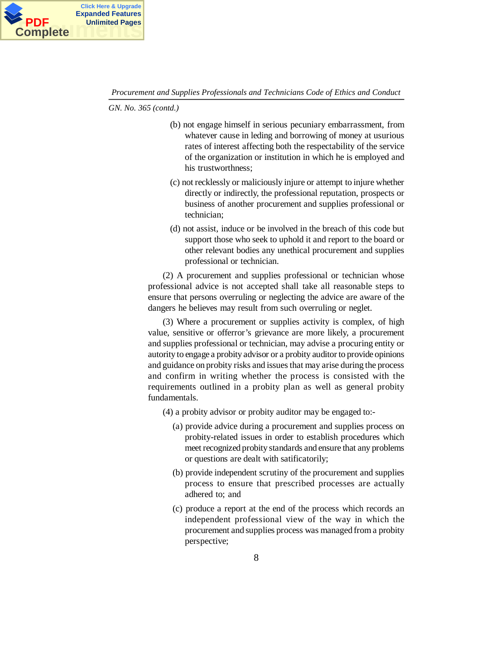

*GN. No. 365 (contd.)*

- (b) not engage himself in serious pecuniary embarrassment, from whatever cause in leding and borrowing of money at usurious rates of interest affecting both the respectability of the service of the organization or institution in which he is employed and his trustworthness;
- (c) not recklessly or maliciously injure or attempt to injure whether directly or indirectly, the professional reputation, prospects or business of another procurement and supplies professional or technician;
- (d) not assist, induce or be involved in the breach of this code but support those who seek to uphold it and report to the board or other relevant bodies any unethical procurement and supplies professional or technician.

(2) A procurement and supplies professional or technician whose professional advice is not accepted shall take all reasonable steps to ensure that persons overruling or neglecting the advice are aware of the dangers he believes may result from such overruling or neglet.

(3) Where a procurement or supplies activity is complex, of high value, sensitive or offerror's grievance are more likely, a procurement and supplies professional or technician, may advise a procuring entity or autority to engage a probity advisor or a probity auditor to provide opinions and guidance on probity risks and issues that may arise during the process and confirm in writing whether the process is consisted with the requirements outlined in a probity plan as well as general probity fundamentals.

- (4) a probity advisor or probity auditor may be engaged to:-
	- (a) provide advice during a procurement and supplies process on probity-related issues in order to establish procedures which meet recognized probity standards and ensure that any problems or questions are dealt with satificatorily;
	- (b) provide independent scrutiny of the procurement and supplies process to ensure that prescribed processes are actually adhered to; and
	- (c) produce a report at the end of the process which records an independent professional view of the way in which the procurement and supplies process was managed from a probity perspective;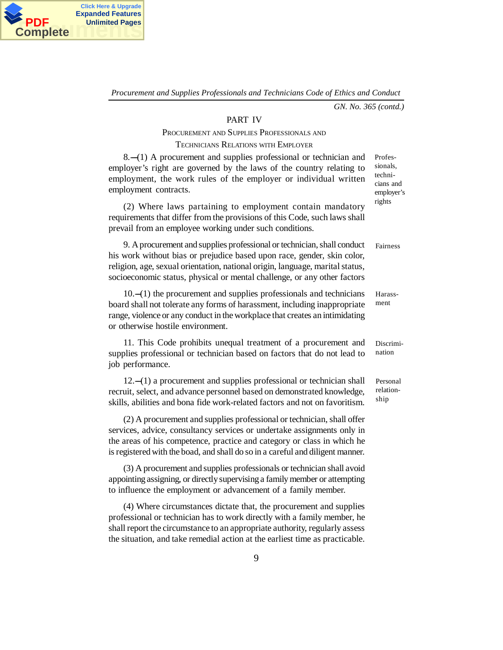

*GN. No. 365 (contd.)*

#### PART IV

### PROCUREMENT AND SUPPLIES PROFESSIONALS AND

## TECHNICIANS RELATIONS WITH EMPLOYER

 $8.$ - $(1)$  A procurement and supplies professional or technician and employer's right are governed by the laws of the country relating to employment, the work rules of the employer or individual written employment contracts.

(2) Where laws partaining to employment contain mandatory requirements that differ from the provisions of this Code, such laws shall prevail from an employee working under such conditions.

9. A procurement and supplies professional or technician, shall conduct his work without bias or prejudice based upon race, gender, skin color, religion, age, sexual orientation, national origin, language, marital status, socioeconomic status, physical or mental challenge, or any other factors

 $10.$ - $(1)$  the procurement and supplies professionals and technicians board shall not tolerate any forms of harassment, including inappropriate range, violence or any conduct in the workplace that creates an intimidating or otherwise hostile environment.

11. This Code prohibits unequal treatment of a procurement and supplies professional or technician based on factors that do not lead to job performance.

 $12.-(1)$  a procurement and supplies professional or technician shall recruit, select, and advance personnel based on demonstrated knowledge, skills, abilities and bona fide work-related factors and not on favoritism.

(2) A procurement and supplies professional or technician, shall offer services, advice, consultancy services or undertake assignments only in the areas of his competence, practice and category or class in which he is registered with the boad, and shall do so in a careful and diligent manner.

(3) A procurement and supplies professionals or technician shall avoid appointing assigning, or directly supervising a family member or attempting to influence the employment or advancement of a family member.

(4) Where circumstances dictate that, the procurement and supplies professional or technician has to work directly with a family member, he shall report the circumstance to an appropriate authority, regularly assess the situation, and take remedial action at the earliest time as practicable. Professionals, technicians and employer's rights

Fairness

Harassment

Discrimination

Personal relationship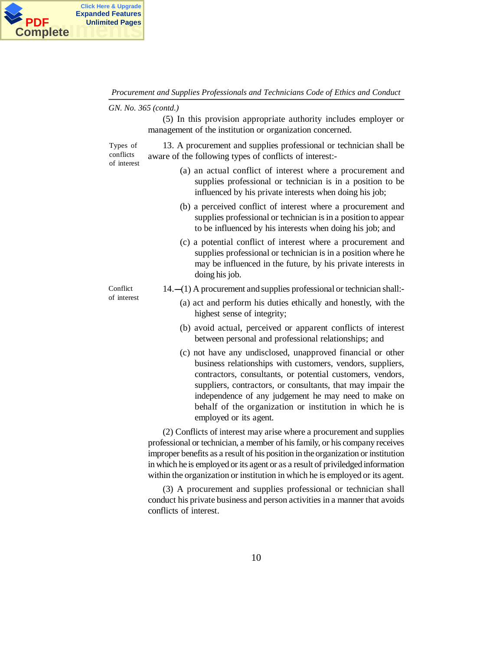

*GN. No. 365 (contd.)*

(5) In this provision appropriate authority includes employer or management of the institution or organization concerned.

13. A procurement and supplies professional or technician shall be aware of the following types of conflicts of interest:- Types of conflicts of interest

- (a) an actual conflict of interest where a procurement and supplies professional or technician is in a position to be influenced by his private interests when doing his job;
- (b) a perceived conflict of interest where a procurement and supplies professional or technician is in a position to appear to be influenced by his interests when doing his job; and
- (c) a potential conflict of interest where a procurement and supplies professional or technician is in a position where he may be influenced in the future, by his private interests in doing his job.

Conflict of interest  $14.$ - $(1)$  A procurement and supplies professional or technician shall:-

- (a) act and perform his duties ethically and honestly, with the highest sense of integrity;
- (b) avoid actual, perceived or apparent conflicts of interest between personal and professional relationships; and
- (c) not have any undisclosed, unapproved financial or other business relationships with customers, vendors, suppliers, contractors, consultants, or potential customers, vendors, suppliers, contractors, or consultants, that may impair the independence of any judgement he may need to make on behalf of the organization or institution in which he is employed or its agent.

(2) Conflicts of interest may arise where a procurement and supplies professional or technician, a member of his family, or his company receives improper benefits as a result of his position in the organization or institution in which he is employed or its agent or as a result of priviledged information within the organization or institution in which he is employed or its agent.

(3) A procurement and supplies professional or technician shall conduct his private business and person activities in a manner that avoids conflicts of interest.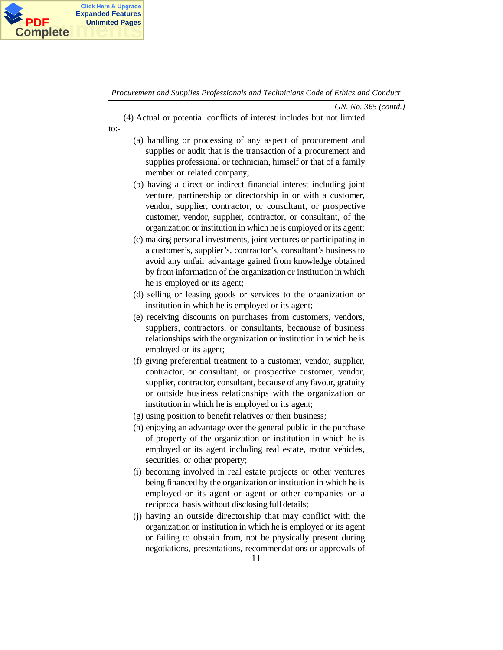

*GN. No. 365 (contd.)*

(4) Actual or potential conflicts of interest includes but not limited to:-

- (a) handling or processing of any aspect of procurement and supplies or audit that is the transaction of a procurement and supplies professional or technician, himself or that of a family member or related company;
- (b) having a direct or indirect financial interest including joint venture, partinership or directorship in or with a customer, vendor, supplier, contractor, or consultant, or prospective customer, vendor, supplier, contractor, or consultant, of the organization or institution in which he is employed or its agent;
- (c) making personal investments, joint ventures or participating in a customer's, supplier's, contractor's, consultant's business to avoid any unfair advantage gained from knowledge obtained by from information of the organization or institution in which he is employed or its agent;
- (d) selling or leasing goods or services to the organization or institution in which he is employed or its agent;
- (e) receiving discounts on purchases from customers, vendors, suppliers, contractors, or consultants, becaouse of business relationships with the organization or institution in which he is employed or its agent;
- (f) giving preferential treatment to a customer, vendor, supplier, contractor, or consultant, or prospective customer, vendor, supplier, contractor, consultant, because of any favour, gratuity or outside business relationships with the organization or institution in which he is employed or its agent;
- (g) using position to benefit relatives or their business;
- (h) enjoying an advantage over the general public in the purchase of property of the organization or institution in which he is employed or its agent including real estate, motor vehicles, securities, or other property;
- (i) becoming involved in real estate projects or other ventures being financed by the organization or institution in which he is employed or its agent or agent or other companies on a reciprocal basis without disclosing full details;
- (j) having an outside directorship that may conflict with the organization or institution in which he is employed or its agent or failing to obstain from, not be physically present during negotiations, presentations, recommendations or approvals of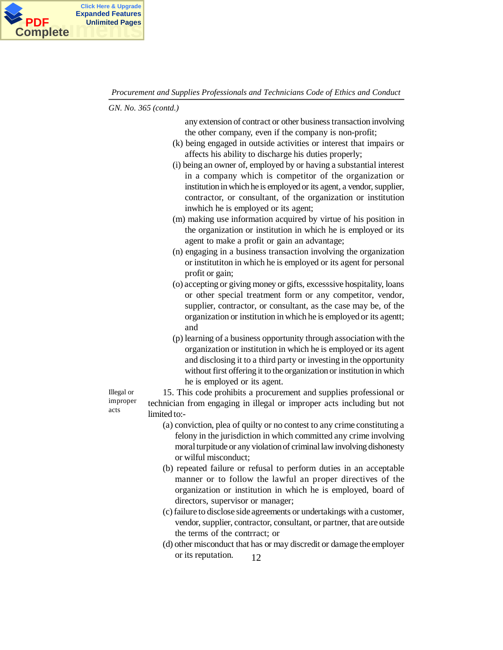

*GN. No. 365 (contd.)*

any extension of contract or other business transaction involving the other company, even if the company is non-profit;

- (k) being engaged in outside activities or interest that impairs or affects his ability to discharge his duties properly;
- (i) being an owner of, employed by or having a substantial interest in a company which is competitor of the organization or institution in which he is employed or its agent, a vendor, supplier, contractor, or consultant, of the organization or institution inwhich he is employed or its agent;
- (m) making use information acquired by virtue of his position in the organization or institution in which he is employed or its agent to make a profit or gain an advantage;
- (n) engaging in a business transaction involving the organization or institutiton in which he is employed or its agent for personal profit or gain;
- (o) accepting or giving money or gifts, excesssive hospitality, loans or other special treatment form or any competitor, vendor, supplier, contractor, or consultant, as the case may be, of the organization or institution in which he is employed or its agentt; and
- (p) learning of a business opportunity through association with the organization or institution in which he is employed or its agent and disclosing it to a third party or investing in the opportunity without first offering it to the organization or institution in which he is employed or its agent.

Illegal or improper acts

15. This code prohibits a procurement and supplies professional or technician from engaging in illegal or improper acts including but not limited to:-

- (a) conviction, plea of quilty or no contest to any crime constituting a felony in the jurisdiction in which committed any crime involving moral turpitude or any violation of criminal law involving dishonesty or wilful misconduct;
- (b) repeated failure or refusal to perform duties in an acceptable manner or to follow the lawful an proper directives of the organization or institution in which he is employed, board of directors, supervisor or manager;
- (c) failure to disclose side agreements or undertakings with a customer, vendor, supplier, contractor, consultant, or partner, that are outside the terms of the contrract; or
- 12 (d) other misconduct that has or may discredit or damage the employer or its reputation.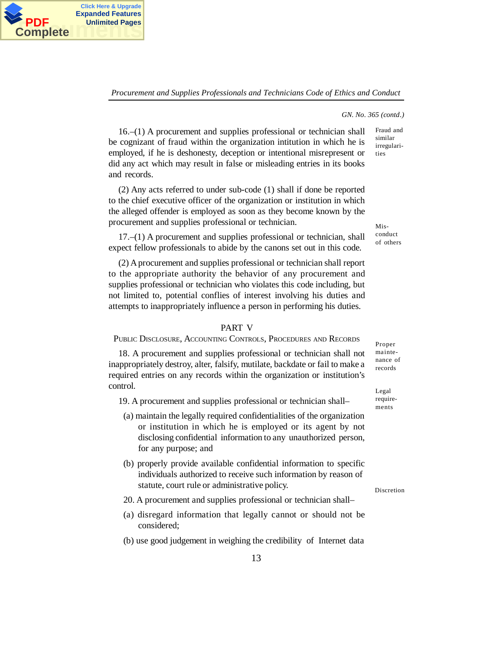

#### *GN. No. 365 (contd.)*

Fraud and similar irregularities

16.–(1) A procurement and supplies professional or technician shall be cognizant of fraud within the organization intitution in which he is employed, if he is deshonesty, deception or intentional misrepresent or did any act which may result in false or misleading entries in its books and records.

**PDF** Unlimited Pages<br>Complete

**Click Here & Upgrade Expanded Features**

**Complete**

(2) Any acts referred to under sub-code (1) shall if done be reported to the chief executive officer of the organization or institution in which the alleged offender is employed as soon as they become known by the procurement and supplies professional or technician.

17.–(1) A procurement and supplies professional or technician, shall expect fellow professionals to abide by the canons set out in this code.

(2) A procurement and supplies professional or technician shall report to the appropriate authority the behavior of any procurement and supplies professional or technician who violates this code including, but not limited to, potential conflies of interest involving his duties and attempts to inappropriately influence a person in performing his duties.

### PART V

## PUBLIC DISCLOSURE, ACCOUNTING CONTROLS, PROCEDURES AND RECORDS

18. A procurement and supplies professional or technician shall not inappropriately destroy, alter, falsify, mutilate, backdate or fail to make a required entries on any records within the organization or institution's control.

19. A procurement and supplies professional or technician shall–

- (a) maintain the legally required confidentialities of the organization or institution in which he is employed or its agent by not disclosing confidential information to any unauthorized person, for any purpose; and
- (b) properly provide available confidential information to specific individuals authorized to receive such information by reason of statute, court rule or administrative policy.
- 20. A procurement and supplies professional or technician shall–
- (a) disregard information that legally cannot or should not be considered;
- (b) use good judgement in weighing the credibility of Internet data

Misconduct

of others

Proper maintenance of records

Legal requirements

Discretion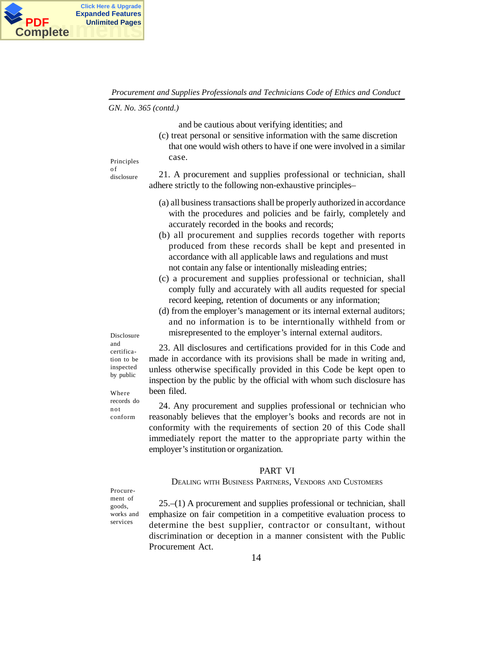

*GN. No. 365 (contd.)*

and be cautious about verifying identities; and

(c) treat personal or sensitive information with the same discretion that one would wish others to have if one were involved in a similar case.

Principles o f

disclosure

21. A procurement and supplies professional or technician, shall adhere strictly to the following non-exhaustive principles–

- (a) all business transactions shall be properly authorized in accordance with the procedures and policies and be fairly, completely and accurately recorded in the books and records;
- (b) all procurement and supplies records together with reports produced from these records shall be kept and presented in accordance with all applicable laws and regulations and must not contain any false or intentionally misleading entries;
- (c) a procurement and supplies professional or technician, shall comply fully and accurately with all audits requested for special record keeping, retention of documents or any information;
- (d) from the employer's management or its internal external auditors; and no information is to be interntionally withheld from or misrepresented to the employer's internal external auditors.

Disclosure and certification to be inspected by public

Where records do not conform

23. All disclosures and certifications provided for in this Code and made in accordance with its provisions shall be made in writing and, unless otherwise specifically provided in this Code be kept open to inspection by the public by the official with whom such disclosure has been filed.

24. Any procurement and supplies professional or technician who reasonably believes that the employer's books and records are not in conformity with the requirements of section 20 of this Code shall immediately report the matter to the appropriate party within the employer's institution or organization.

# PART VI

#### DEALING WITH BUSINESS PARTNERS, VENDORS AND CUSTOMERS

Procurement of goods, works and services

25.–(1) A procurement and supplies professional or technician, shall emphasize on fair competition in a competitive evaluation process to determine the best supplier, contractor or consultant, without discrimination or deception in a manner consistent with the Public Procurement Act.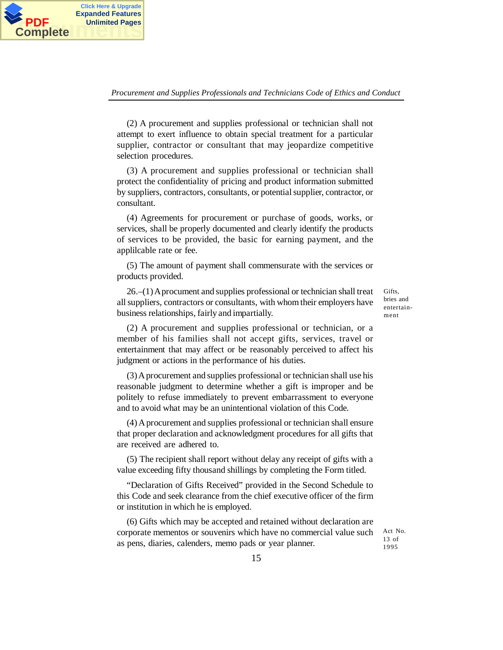

**PDF** Unlimited Pages<br>Complete

**Click Here & Upgrade Expanded Features**

**Complete**

(2) A procurement and supplies professional or technician shall not attempt to exert influence to obtain special treatment for a particular supplier, contractor or consultant that may jeopardize competitive selection procedures.

(3) A procurement and supplies professional or technician shall protect the confidentiality of pricing and product information submitted by suppliers, contractors, consultants, or potential supplier, contractor, or consultant.

(4) Agreements for procurement or purchase of goods, works, or services, shall be properly documented and clearly identify the products of services to be provided, the basic for earning payment, and the applilcable rate or fee.

(5) The amount of payment shall commensurate with the services or products provided.

26.–(1) A procument and supplies professional or technician shall treat all suppliers, contractors or consultants, with whom their employers have business relationships, fairly and impartially.

Gifts. bries and entertainment

(2) A procurement and supplies professional or technician, or a member of his families shall not accept gifts, services, travel or entertainment that may affect or be reasonably perceived to affect his judgment or actions in the performance of his duties.

(3) A procurement and supplies professional or technician shall use his reasonable judgment to determine whether a gift is improper and be politely to refuse immediately to prevent embarrassment to everyone and to avoid what may be an unintentional violation of this Code.

(4) A procurement and supplies professional or technician shall ensure that proper declaration and acknowledgment procedures for all gifts that are received are adhered to.

(5) The recipient shall report without delay any receipt of gifts with a value exceeding fifty thousand shillings by completing the Form titled.

"Declaration of Gifts Received" provided in the Second Schedule to this Code and seek clearance from the chief executive officer of the firm or institution in which he is employed.

(6) Gifts which may be accepted and retained without declaration are corporate mementos or souvenirs which have no commercial value such as pens, diaries, calenders, memo pads or year planner.

Act No. 13 of 1995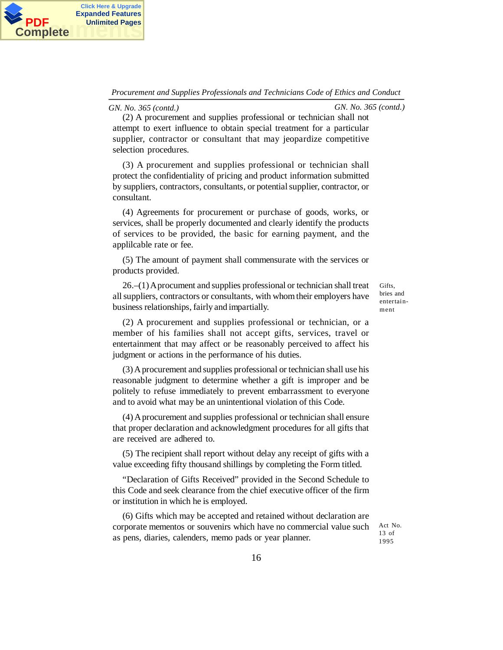

*GN. No. 365 (contd.) GN. No. 365 (contd.)*

(2) A procurement and supplies professional or technician shall not attempt to exert influence to obtain special treatment for a particular supplier, contractor or consultant that may jeopardize competitive selection procedures.

(3) A procurement and supplies professional or technician shall protect the confidentiality of pricing and product information submitted by suppliers, contractors, consultants, or potential supplier, contractor, or consultant.

(4) Agreements for procurement or purchase of goods, works, or services, shall be properly documented and clearly identify the products of services to be provided, the basic for earning payment, and the applilcable rate or fee.

(5) The amount of payment shall commensurate with the services or products provided.

26.–(1) A procument and supplies professional or technician shall treat all suppliers, contractors or consultants, with whom their employers have business relationships, fairly and impartially.

Gifts, bries and entertainment

(2) A procurement and supplies professional or technician, or a member of his families shall not accept gifts, services, travel or entertainment that may affect or be reasonably perceived to affect his judgment or actions in the performance of his duties.

(3) A procurement and supplies professional or technician shall use his reasonable judgment to determine whether a gift is improper and be politely to refuse immediately to prevent embarrassment to everyone and to avoid what may be an unintentional violation of this Code.

(4) A procurement and supplies professional or technician shall ensure that proper declaration and acknowledgment procedures for all gifts that are received are adhered to.

(5) The recipient shall report without delay any receipt of gifts with a value exceeding fifty thousand shillings by completing the Form titled.

"Declaration of Gifts Received" provided in the Second Schedule to this Code and seek clearance from the chief executive officer of the firm or institution in which he is employed.

(6) Gifts which may be accepted and retained without declaration are corporate mementos or souvenirs which have no commercial value such as pens, diaries, calenders, memo pads or year planner.

Act No. 13 of 1995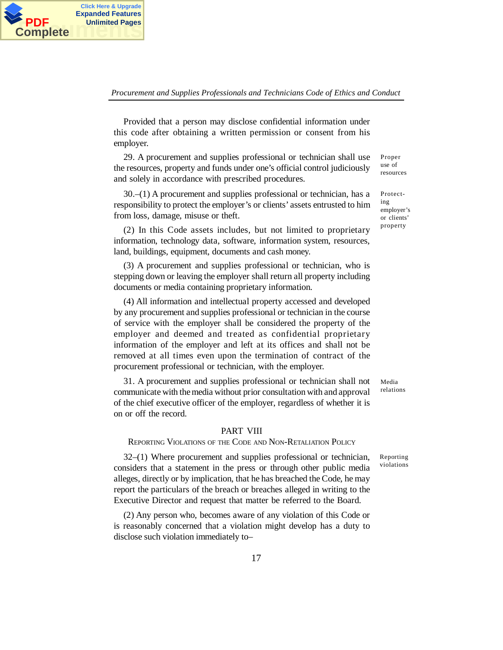

Provided that a person may disclose confidential information under this code after obtaining a written permission or consent from his employer.

**PDF** Unlimited Pages<br> **Complete** 

**Click Here & Upgrade Expanded Features Unlimited Pages**

> 29. A procurement and supplies professional or technician shall use the resources, property and funds under one's official control judiciously and solely in accordance with prescribed procedures.

30.–(1) A procurement and supplies professional or technician, has a responsibility to protect the employer's or clients' assets entrusted to him from loss, damage, misuse or theft.

(2) In this Code assets includes, but not limited to proprietary information, technology data, software, information system, resources, land, buildings, equipment, documents and cash money.

(3) A procurement and supplies professional or technician, who is stepping down or leaving the employer shall return all property including documents or media containing proprietary information.

(4) All information and intellectual property accessed and developed by any procurement and supplies professional or technician in the course of service with the employer shall be considered the property of the employer and deemed and treated as confidential proprietary information of the employer and left at its offices and shall not be removed at all times even upon the termination of contract of the procurement professional or technician, with the employer.

31. A procurement and supplies professional or technician shall not communicate with the media without prior consultation with and approval of the chief executive officer of the employer, regardless of whether it is on or off the record.

#### PART VIII

REPORTING VIOLATIONS OF THE CODE AND NON-RETALIATION POLICY

32–(1) Where procurement and supplies professional or technician, considers that a statement in the press or through other public media alleges, directly or by implication, that he has breached the Code, he may report the particulars of the breach or breaches alleged in writing to the Executive Director and request that matter be referred to the Board.

(2) Any person who, becomes aware of any violation of this Code or is reasonably concerned that a violation might develop has a duty to disclose such violation immediately to–

resources Protecting employer's

or clients' property

Proper use of

Media relations

Reporting violations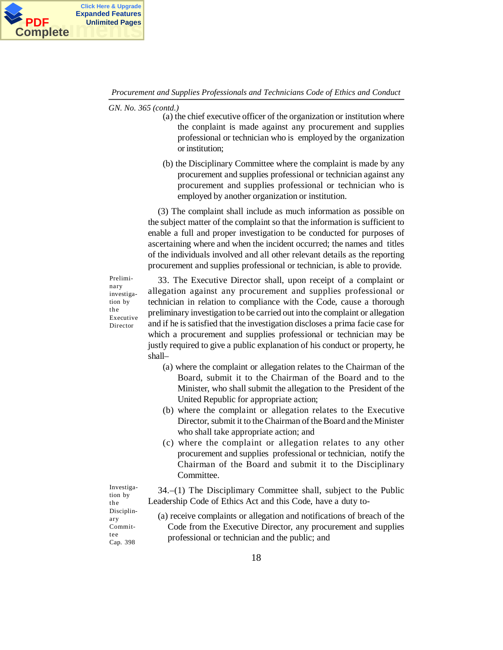

*GN. No. 365 (contd.)*

- (a) the chief executive officer of the organization or institution where the conplaint is made against any procurement and supplies professional or technician who is employed by the organization or institution;
- (b) the Disciplinary Committee where the complaint is made by any procurement and supplies professional or technician against any procurement and supplies professional or technician who is employed by another organization or institution.

(3) The complaint shall include as much information as possible on the subject matter of the complaint so that the information is sufficient to enable a full and proper investigation to be conducted for purposes of ascertaining where and when the incident occurred; the names and titles of the individuals involved and all other relevant details as the reporting procurement and supplies professional or technician, is able to provide.

Preliminary investigation by the Executive Director

33. The Executive Director shall, upon receipt of a complaint or allegation against any procurement and supplies professional or technician in relation to compliance with the Code, cause a thorough preliminary investigation to be carried out into the complaint or allegation and if he is satisfied that the investigation discloses a prima facie case for which a procurement and supplies professional or technician may be justly required to give a public explanation of his conduct or property, he shall–

- (a) where the complaint or allegation relates to the Chairman of the Board, submit it to the Chairman of the Board and to the Minister, who shall submit the allegation to the President of the United Republic for appropriate action;
- (b) where the complaint or allegation relates to the Executive Director, submit it to the Chairman of the Board and the Minister who shall take appropriate action; and
- (c) where the complaint or allegation relates to any other procurement and supplies professional or technician, notify the Chairman of the Board and submit it to the Disciplinary Committee.

34.–(1) The Disciplimary Committee shall, subject to the Public Leadership Code of Ethics Act and this Code, have a duty to-

tion by the Disciplinary Committee Cap. 398

Investiga-

(a) receive complaints or allegation and notifications of breach of the Code from the Executive Director, any procurement and supplies professional or technician and the public; and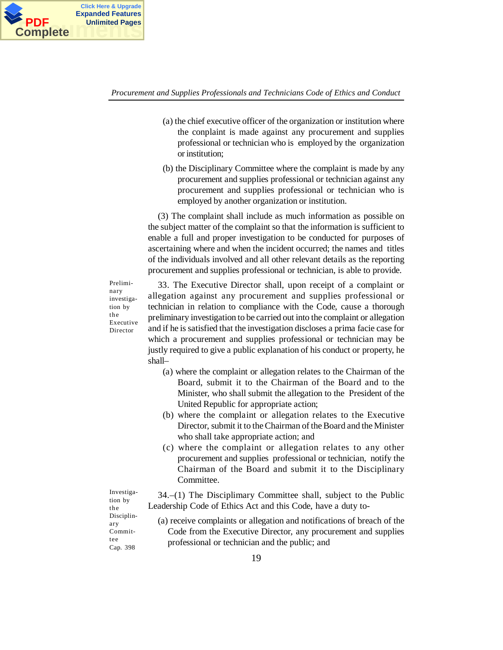

- (a) the chief executive officer of the organization or institution where the conplaint is made against any procurement and supplies professional or technician who is employed by the organization or institution;
- (b) the Disciplinary Committee where the complaint is made by any procurement and supplies professional or technician against any procurement and supplies professional or technician who is employed by another organization or institution.

(3) The complaint shall include as much information as possible on the subject matter of the complaint so that the information is sufficient to enable a full and proper investigation to be conducted for purposes of ascertaining where and when the incident occurred; the names and titles of the individuals involved and all other relevant details as the reporting procurement and supplies professional or technician, is able to provide.

Preliminary investigation by the Executive Director

33. The Executive Director shall, upon receipt of a complaint or allegation against any procurement and supplies professional or technician in relation to compliance with the Code, cause a thorough preliminary investigation to be carried out into the complaint or allegation and if he is satisfied that the investigation discloses a prima facie case for which a procurement and supplies professional or technician may be justly required to give a public explanation of his conduct or property, he shall–

- (a) where the complaint or allegation relates to the Chairman of the Board, submit it to the Chairman of the Board and to the Minister, who shall submit the allegation to the President of the United Republic for appropriate action;
- (b) where the complaint or allegation relates to the Executive Director, submit it to the Chairman of the Board and the Minister who shall take appropriate action; and
- (c) where the complaint or allegation relates to any other procurement and supplies professional or technician, notify the Chairman of the Board and submit it to the Disciplinary Committee.

34.–(1) The Disciplimary Committee shall, subject to the Public Leadership Code of Ethics Act and this Code, have a duty to-

(a) receive complaints or allegation and notifications of breach of the Code from the Executive Director, any procurement and supplies professional or technician and the public; and

tion by the Disciplinary Committee Cap. 398

Investiga-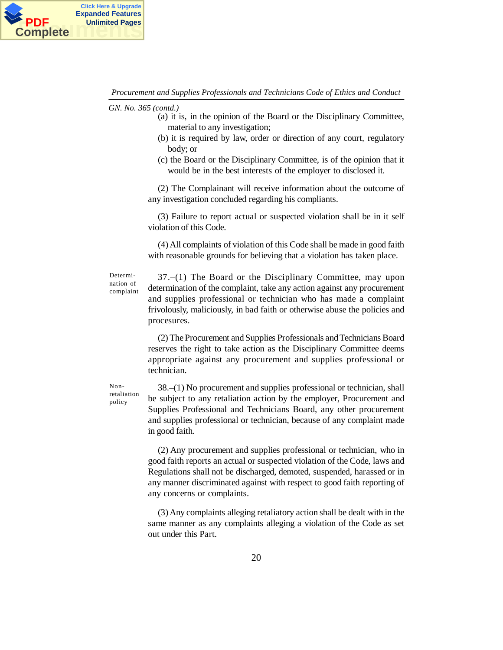

*GN. No. 365 (contd.)*

- (a) it is, in the opinion of the Board or the Disciplinary Committee, material to any investigation;
- (b) it is required by law, order or direction of any court, regulatory body; or
- (c) the Board or the Disciplinary Committee, is of the opinion that it would be in the best interests of the employer to disclosed it.

(2) The Complainant will receive information about the outcome of any investigation concluded regarding his compliants.

(3) Failure to report actual or suspected violation shall be in it self violation of this Code.

(4) All complaints of violation of this Code shall be made in good faith with reasonable grounds for believing that a violation has taken place.

Determination of complaint

37.–(1) The Board or the Disciplinary Committee, may upon determination of the complaint, take any action against any procurement and supplies professional or technician who has made a complaint frivolously, maliciously, in bad faith or otherwise abuse the policies and procesures.

(2) The Procurement and Supplies Professionals and Technicians Board reserves the right to take action as the Disciplinary Committee deems appropriate against any procurement and supplies professional or technician.

Nonretaliation policy

38.–(1) No procurement and supplies professional or technician, shall be subject to any retaliation action by the employer, Procurement and Supplies Professional and Technicians Board, any other procurement and supplies professional or technician, because of any complaint made in good faith.

(2) Any procurement and supplies professional or technician, who in good faith reports an actual or suspected violation of the Code, laws and Regulations shall not be discharged, demoted, suspended, harassed or in any manner discriminated against with respect to good faith reporting of any concerns or complaints.

(3) Any complaints alleging retaliatory action shall be dealt with in the same manner as any complaints alleging a violation of the Code as set out under this Part.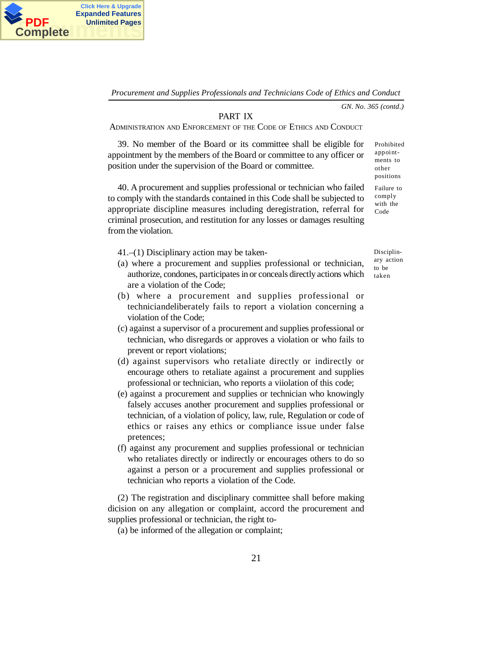

*GN. No. 365 (contd.)*

### PART IX

ADMINISTRATION AND ENFORCEMENT OF THE CODE OF ETHICS AND CONDUCT

39. No member of the Board or its committee shall be eligible for appointment by the members of the Board or committee to any officer or position under the supervision of the Board or committee.

40. A procurement and supplies professional or technician who failed to comply with the standards contained in this Code shall be subjected to appropriate discipline measures including deregistration, referral for criminal prosecution, and restitution for any losses or damages resulting from the violation.

41.–(1) Disciplinary action may be taken-

- (a) where a procurement and supplies professional or technician, authorize, condones, participates in or conceals directly actions which are a violation of the Code;
- (b) where a procurement and supplies professional or techniciandeliberately fails to report a violation concerning a violation of the Code;
- (c) against a supervisor of a procurement and supplies professional or technician, who disregards or approves a violation or who fails to prevent or report violations;
- (d) against supervisors who retaliate directly or indirectly or encourage others to retaliate against a procurement and supplies professional or technician, who reports a viiolation of this code;
- (e) against a procurement and supplies or technician who knowingly falsely accuses another procurement and supplies professional or technician, of a violation of policy, law, rule, Regulation or code of ethics or raises any ethics or compliance issue under false pretences;
- (f) against any procurement and supplies professional or technician who retaliates directly or indirectly or encourages others to do so against a person or a procurement and supplies professional or technician who reports a violation of the Code.

(2) The registration and disciplinary committee shall before making dicision on any allegation or complaint, accord the procurement and supplies professional or technician, the right to-

(a) be informed of the allegation or complaint;

Disciplinary action

Prohibited appointments to other positions Failure to comply with the Code

to be taken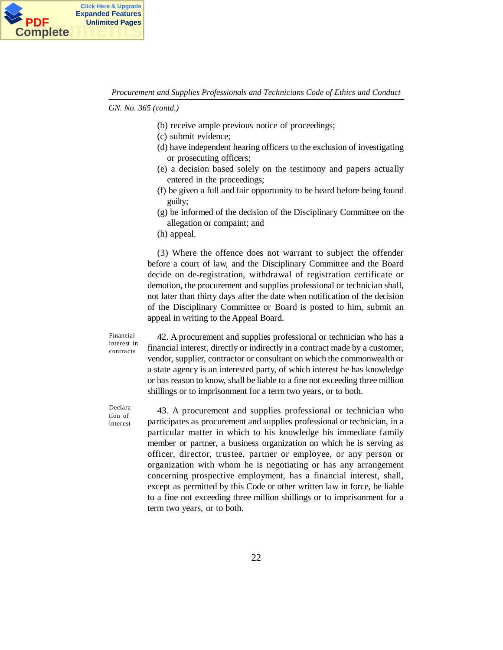

*GN. No. 365 (contd.)*

- (b) receive ample previous notice of proceedings;
- (c) submit evidence;
- (d) have independent hearing officers to the exclusion of investigating or prosecuting officers;
- (e) a decision based solely on the testimony and papers actually entered in the proceedings;
- (f) be given a full and fair opportunity to be heard before being found guilty;
- (g) be informed of the decision of the Disciplinary Committee on the allegation or compaint; and
- (h) appeal.

(3) Where the offence does not warrant to subject the offender before a court of law, and the Disciplinary Committee and the Board decide on de-registration, withdrawal of registration certificate or demotion, the procurement and supplies professional or technician shall, not later than thirty days after the date when notification of the decision of the Disciplinary Committee or Board is posted to him, submit an appeal in writing to the Appeal Board.

Financial interest in contracts

42. A procurement and supplies professional or technician who has a financial interest, directly or indirectly in a contract made by a customer, vendor, supplier, contractor or consultant on which the commonwealth or a state agency is an interested party, of which interest he has knowledge or has reason to know, shall be liable to a fine not exceeding three million shillings or to imprisonment for a term two years, or to both.

Declaration of interest

43. A procurement and supplies professional or technician who participates as procurement and supplies professional or technician, in a particular matter in which to his knowledge his immediate family member or partner, a business organization on which he is serving as officer, director, trustee, partner or employee, or any person or organization with whom he is negotiating or has any arrangement concerning prospective employment, has a financial interest, shall, except as permitted by this Code or other written law in force, be liable to a fine not exceeding three million shillings or to imprisonment for a term two years, or to both.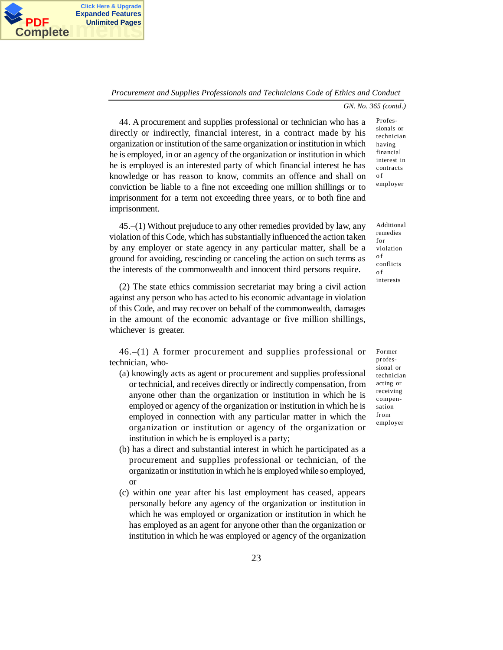

**PDF** Unlimited Pages<br> **Complete** 

**Click Here & Upgrade Expanded Features Unlimited Pages**

*GN. No. 365 (contd.)*

Professionals or

44. A procurement and supplies professional or technician who has a directly or indirectly, financial interest, in a contract made by his organization or institution of the same organization or institution in which he is employed, in or an agency of the organization or institution in which he is employed is an interested party of which financial interest he has knowledge or has reason to know, commits an offence and shall on conviction be liable to a fine not exceeding one million shillings or to imprisonment for a term not exceeding three years, or to both fine and imprisonment.

45.–(1) Without prejuduce to any other remedies provided by law, any violation of this Code, which has substantially influenced the action taken by any employer or state agency in any particular matter, shall be a ground for avoiding, rescinding or canceling the action on such terms as the interests of the commonwealth and innocent third persons require.

(2) The state ethics commission secretariat may bring a civil action against any person who has acted to his economic advantage in violation of this Code, and may recover on behalf of the commonwealth, damages in the amount of the economic advantage or five million shillings, whichever is greater.

46.–(1) A former procurement and supplies professional or technician, who-

- (a) knowingly acts as agent or procurement and supplies professional or technicial, and receives directly or indirectly compensation, from anyone other than the organization or institution in which he is employed or agency of the organization or institution in which he is employed in connection with any particular matter in which the organization or institution or agency of the organization or institution in which he is employed is a party;
- (b) has a direct and substantial interest in which he participated as a procurement and supplies professional or technician, of the organizatin or institution in which he is employed while so employed, or
- (c) within one year after his last employment has ceased, appears personally before any agency of the organization or institution in which he was employed or organization or institution in which he has employed as an agent for anyone other than the organization or institution in which he was employed or agency of the organization

technician having financial interest in contracts o f employer

Additional remedies for violation o f conflicts o f interests

Former professional or technician acting or receiving compensation from employer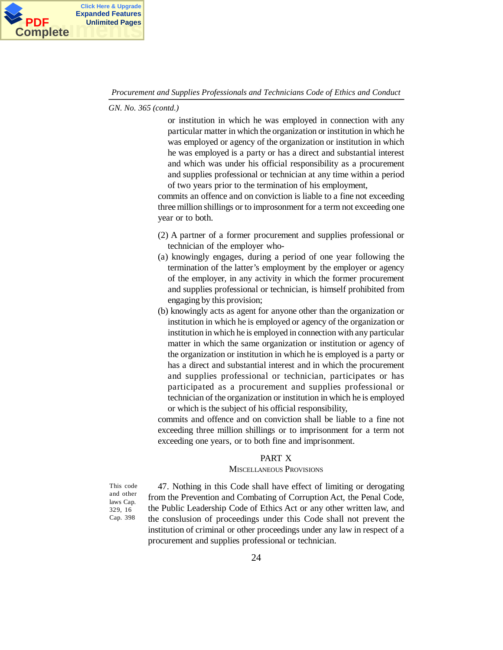

*GN. No. 365 (contd.)*

or institution in which he was employed in connection with any particular matter in which the organization or institution in which he was employed or agency of the organization or institution in which he was employed is a party or has a direct and substantial interest and which was under his official responsibility as a procurement and supplies professional or technician at any time within a period of two years prior to the termination of his employment,

commits an offence and on conviction is liable to a fine not exceeding three million shillings or to improsonment for a term not exceeding one year or to both.

- (2) A partner of a former procurement and supplies professional or technician of the employer who-
- (a) knowingly engages, during a period of one year following the termination of the latter's employment by the employer or agency of the employer, in any activity in which the former procurement and supplies professional or technician, is himself prohibited from engaging by this provision;
- (b) knowingly acts as agent for anyone other than the organization or institution in which he is employed or agency of the organization or institution in which he is employed in connection with any particular matter in which the same organization or institution or agency of the organization or institution in which he is employed is a party or has a direct and substantial interest and in which the procurement and supplies professional or technician, participates or has participated as a procurement and supplies professional or technician of the organization or institution in which he is employed or which is the subject of his official responsibility,

commits and offence and on conviction shall be liable to a fine not exceeding three million shillings or to imprisonment for a term not exceeding one years, or to both fine and imprisonment.

#### PART X

### MISCELLANEOUS PROVISIONS

This code and other laws Cap. 329, 16 Cap. 398

47. Nothing in this Code shall have effect of limiting or derogating from the Prevention and Combating of Corruption Act, the Penal Code, the Public Leadership Code of Ethics Act or any other written law, and the conslusion of proceedings under this Code shall not prevent the institution of criminal or other proceedings under any law in respect of a procurement and supplies professional or technician.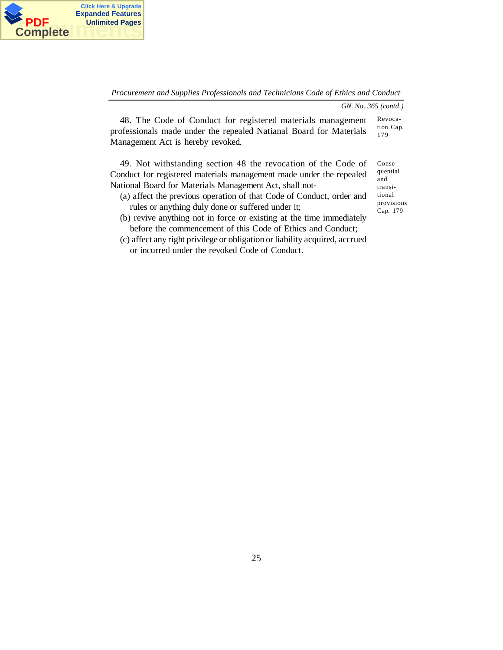

*GN. No. 365 (contd.)*

48. The Code of Conduct for registered materials management professionals made under the repealed Natianal Board for Materials Management Act is hereby revoked. Revocation Cap. 179

49. Not withstanding section 48 the revocation of the Code of Conduct for registered materials management made under the repealed National Board for Materials Management Act, shall not-

- (a) affect the previous operation of that Code of Conduct, order and rules or anything duly done or suffered under it;
- (b) revive anything not in force or existing at the time immediately before the commencement of this Code of Ethics and Conduct;
- (c) affect any right privilege or obligation or liability acquired, accrued or incurred under the revoked Code of Conduct.

Consequential and transitional provisions Cap. 179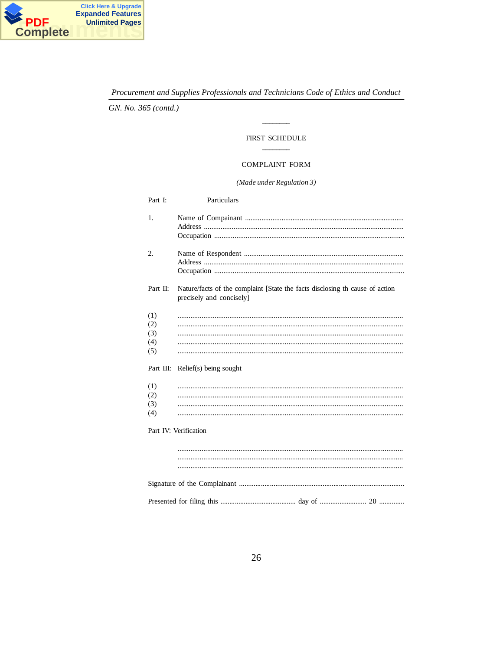

GN. No. 365 (contd.)

# FIRST SCHEDULE

#### **COMPLAINT FORM**

### $\left( Made\, under\, Regulation\,3\right)$

| Part I:                         | Particulars                                                                                              |  |  |  |  |
|---------------------------------|----------------------------------------------------------------------------------------------------------|--|--|--|--|
| 1.                              |                                                                                                          |  |  |  |  |
| 2.                              |                                                                                                          |  |  |  |  |
| Part II:                        | Nature/facts of the complaint [State the facts disclosing th cause of action<br>precisely and concisely] |  |  |  |  |
| (1)<br>(2)<br>(3)<br>(4)<br>(5) |                                                                                                          |  |  |  |  |
|                                 | Part III: Relief(s) being sought                                                                         |  |  |  |  |
| (1)<br>(2)<br>(3)<br>(4)        |                                                                                                          |  |  |  |  |
| Part IV: Verification           |                                                                                                          |  |  |  |  |
|                                 |                                                                                                          |  |  |  |  |
|                                 |                                                                                                          |  |  |  |  |
|                                 |                                                                                                          |  |  |  |  |